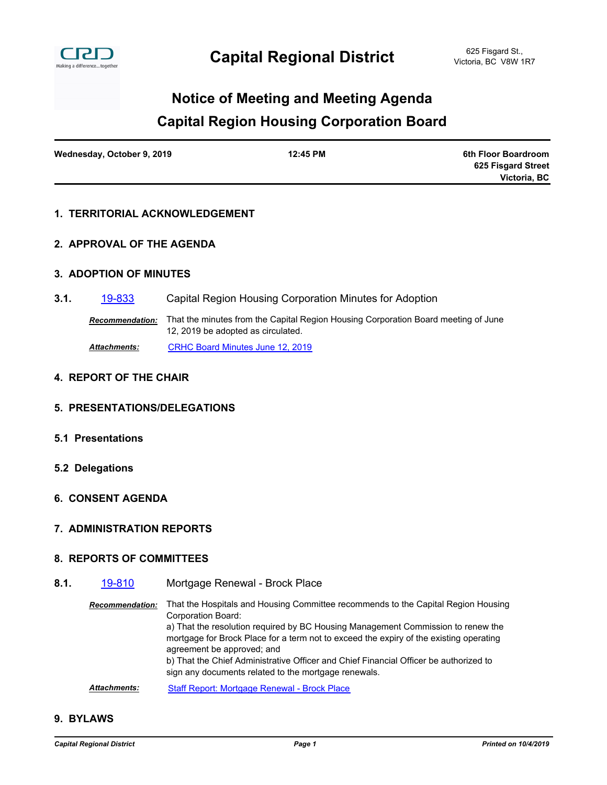

# **Capital Region Housing Corporation Board Notice of Meeting and Meeting Agenda**

| Wednesday, October 9, 2019 | 12:45 PM | 6th Floor Boardroom |
|----------------------------|----------|---------------------|
|                            |          | 625 Fisgard Street  |
|                            |          | Victoria, BC        |

# **1. TERRITORIAL ACKNOWLEDGEMENT**

### **2. APPROVAL OF THE AGENDA**

### **3. ADOPTION OF MINUTES**

**3.1.** [19-833](http://crd.ca.legistar.com/gateway.aspx?m=l&id=/matter.aspx?key=5927) Capital Region Housing Corporation Minutes for Adoption

*Recommendation:* That the minutes from the Capital Region Housing Corporation Board meeting of June 12, 2019 be adopted as circulated.

*Attachments:* [CRHC Board Minutes June 12, 2019](http://crd.ca.legistar.com/gateway.aspx?M=F&ID=578db294-ba32-42ab-8889-6e9769a11a00.pdf)

#### **4. REPORT OF THE CHAIR**

#### **5. PRESENTATIONS/DELEGATIONS**

- **5.1 Presentations**
- **5.2 Delegations**
- **6. CONSENT AGENDA**

#### **7. ADMINISTRATION REPORTS**

#### **8. REPORTS OF COMMITTEES**

**8.1.** [19-810](http://crd.ca.legistar.com/gateway.aspx?m=l&id=/matter.aspx?key=5904) Mortgage Renewal - Brock Place

*Recommendation:* That the Hospitals and Housing Committee recommends to the Capital Region Housing Corporation Board: a) That the resolution required by BC Housing Management Commission to renew the mortgage for Brock Place for a term not to exceed the expiry of the existing operating agreement be approved; and b) That the Chief Administrative Officer and Chief Financial Officer be authorized to sign any documents related to the mortgage renewals.

Attachments: [Staff Report: Mortgage Renewal - Brock Place](http://crd.ca.legistar.com/gateway.aspx?M=F&ID=45a07e96-ca8c-4c6d-b5e4-a0e8528a8ff0.pdf)

# **9. BYLAWS**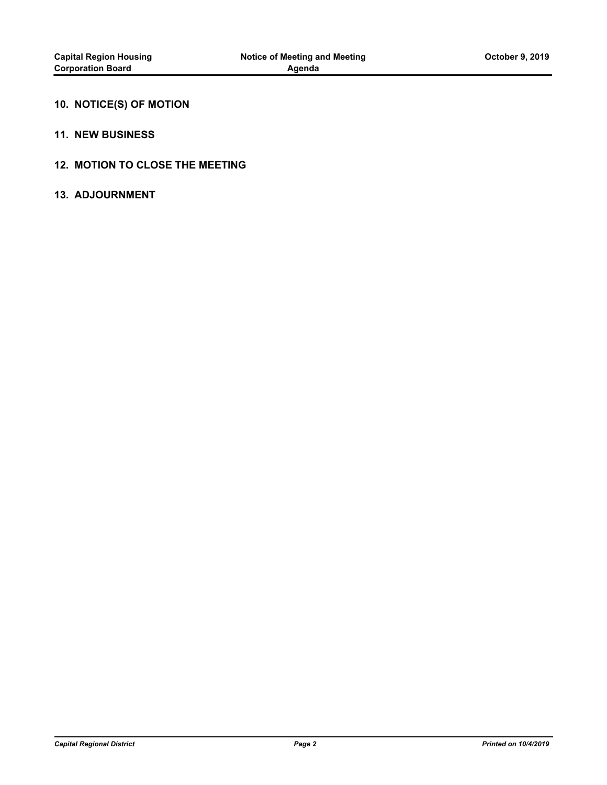# **10. NOTICE(S) OF MOTION**

#### **11. NEW BUSINESS**

# **12. MOTION TO CLOSE THE MEETING**

#### **13. ADJOURNMENT**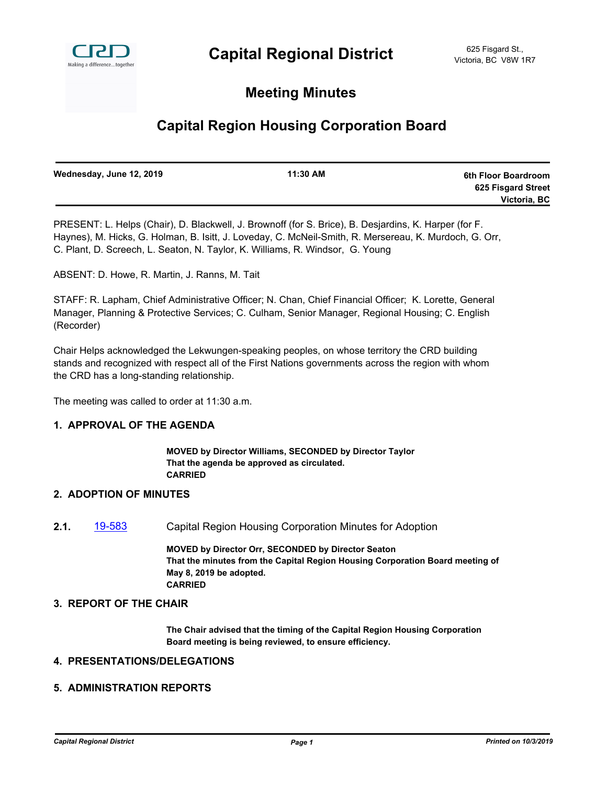

# **Meeting Minutes**

# **Capital Region Housing Corporation Board**

| Wednesday, June 12, 2019 | 11:30 AM | 6th Floor Boardroom |
|--------------------------|----------|---------------------|
|                          |          | 625 Fisgard Street  |
|                          |          | Victoria, BC        |
|                          |          |                     |

PRESENT: L. Helps (Chair), D. Blackwell, J. Brownoff (for S. Brice), B. Desjardins, K. Harper (for F. Haynes), M. Hicks, G. Holman, B. Isitt, J. Loveday, C. McNeil-Smith, R. Mersereau, K. Murdoch, G. Orr, C. Plant, D. Screech, L. Seaton, N. Taylor, K. Williams, R. Windsor, G. Young

ABSENT: D. Howe, R. Martin, J. Ranns, M. Tait

STAFF: R. Lapham, Chief Administrative Officer; N. Chan, Chief Financial Officer; K. Lorette, General Manager, Planning & Protective Services; C. Culham, Senior Manager, Regional Housing; C. English (Recorder)

Chair Helps acknowledged the Lekwungen-speaking peoples, on whose territory the CRD building stands and recognized with respect all of the First Nations governments across the region with whom the CRD has a long-standing relationship.

The meeting was called to order at 11:30 a.m.

# **1. APPROVAL OF THE AGENDA**

**MOVED by Director Williams, SECONDED by Director Taylor That the agenda be approved as circulated. CARRIED**

#### **2. ADOPTION OF MINUTES**

**2.1.** [19-583](http://crd.ca.legistar.com/gateway.aspx?m=l&id=/matter.aspx?key=5671) Capital Region Housing Corporation Minutes for Adoption

**MOVED by Director Orr, SECONDED by Director Seaton That the minutes from the Capital Region Housing Corporation Board meeting of May 8, 2019 be adopted. CARRIED**

#### **3. REPORT OF THE CHAIR**

**The Chair advised that the timing of the Capital Region Housing Corporation Board meeting is being reviewed, to ensure efficiency.**

# **4. PRESENTATIONS/DELEGATIONS**

#### **5. ADMINISTRATION REPORTS**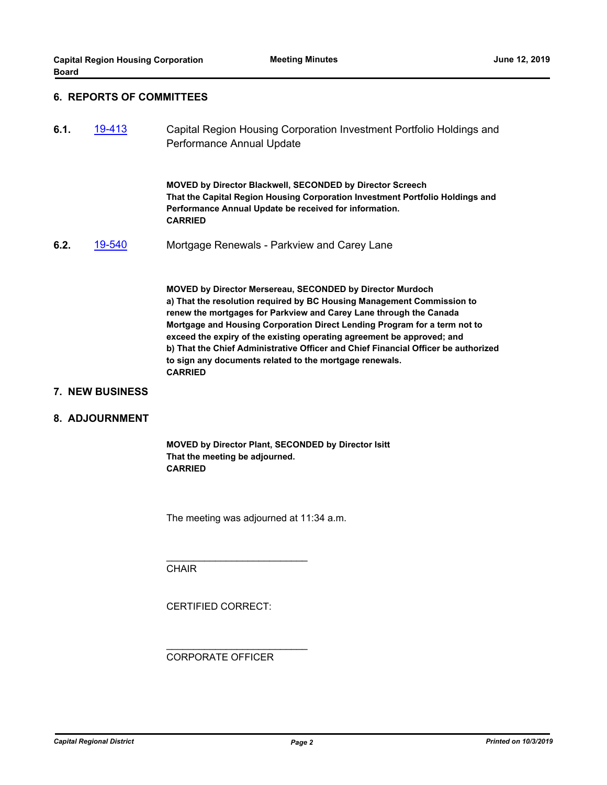# **6. REPORTS OF COMMITTEES**

**6.1.** [19-413](http://crd.ca.legistar.com/gateway.aspx?m=l&id=/matter.aspx?key=5501) Capital Region Housing Corporation Investment Portfolio Holdings and Performance Annual Update

> **MOVED by Director Blackwell, SECONDED by Director Screech That the Capital Region Housing Corporation Investment Portfolio Holdings and Performance Annual Update be received for information. CARRIED**

**6.2.** [19-540](http://crd.ca.legistar.com/gateway.aspx?m=l&id=/matter.aspx?key=5628) Mortgage Renewals - Parkview and Carey Lane

**MOVED by Director Mersereau, SECONDED by Director Murdoch a) That the resolution required by BC Housing Management Commission to renew the mortgages for Parkview and Carey Lane through the Canada Mortgage and Housing Corporation Direct Lending Program for a term not to exceed the expiry of the existing operating agreement be approved; and b) That the Chief Administrative Officer and Chief Financial Officer be authorized to sign any documents related to the mortgage renewals. CARRIED**

#### **7. NEW BUSINESS**

#### **8. ADJOURNMENT**

**MOVED by Director Plant, SECONDED by Director Isitt That the meeting be adjourned. CARRIED**

The meeting was adjourned at 11:34 a.m.

**CHAIR** 

CERTIFIED CORRECT:

\_\_\_\_\_\_\_\_\_\_\_\_\_\_\_\_\_\_\_\_\_\_\_\_\_\_

\_\_\_\_\_\_\_\_\_\_\_\_\_\_\_\_\_\_\_\_\_\_\_\_\_\_

CORPORATE OFFICER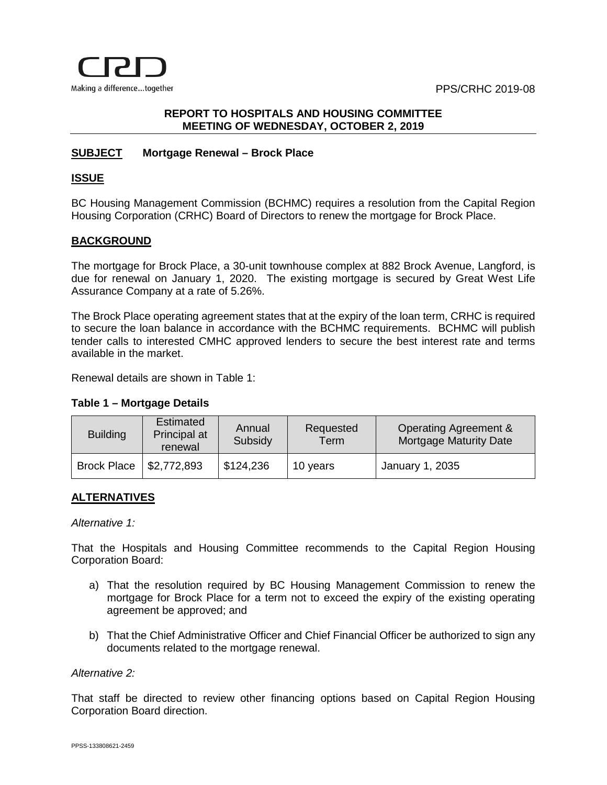PPS/CRHC 2019-08



# **REPORT TO HOSPITALS AND HOUSING COMMITTEE MEETING OF WEDNESDAY, OCTOBER 2, 2019**

# **SUBJECT Mortgage Renewal – Brock Place**

# **ISSUE**

BC Housing Management Commission (BCHMC) requires a resolution from the Capital Region Housing Corporation (CRHC) Board of Directors to renew the mortgage for Brock Place.

# **BACKGROUND**

The mortgage for Brock Place, a 30-unit townhouse complex at 882 Brock Avenue, Langford, is due for renewal on January 1, 2020. The existing mortgage is secured by Great West Life Assurance Company at a rate of 5.26%.

The Brock Place operating agreement states that at the expiry of the loan term, CRHC is required to secure the loan balance in accordance with the BCHMC requirements. BCHMC will publish tender calls to interested CMHC approved lenders to secure the best interest rate and terms available in the market.

Renewal details are shown in Table 1:

# **Table 1 – Mortgage Details**

| <b>Building</b>    | Estimated<br>Principal at<br>renewal | Annual<br>Subsidy | Requested<br>$\mathsf{Term}^\circ$ | Operating Agreement &<br>Mortgage Maturity Date |
|--------------------|--------------------------------------|-------------------|------------------------------------|-------------------------------------------------|
| <b>Brock Place</b> | $\frac{1}{2}$ \$2,772,893            | \$124,236         | 10 years                           | January 1, 2035                                 |

# **ALTERNATIVES**

# *Alternative 1:*

That the Hospitals and Housing Committee recommends to the Capital Region Housing Corporation Board:

- a) That the resolution required by BC Housing Management Commission to renew the mortgage for Brock Place for a term not to exceed the expiry of the existing operating agreement be approved; and
- b) That the Chief Administrative Officer and Chief Financial Officer be authorized to sign any documents related to the mortgage renewal.

# *Alternative 2:*

That staff be directed to review other financing options based on Capital Region Housing Corporation Board direction.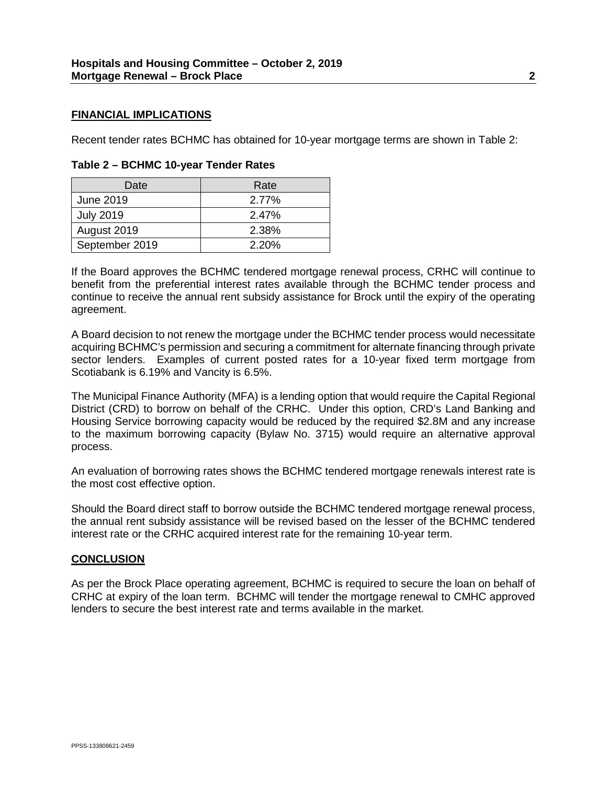### **FINANCIAL IMPLICATIONS**

Recent tender rates BCHMC has obtained for 10-year mortgage terms are shown in Table 2:

| Date             | Rate  |
|------------------|-------|
| <b>June 2019</b> | 2.77% |
| <b>July 2019</b> | 2.47% |
| August 2019      | 2.38% |
| September 2019   | 2.20% |

# **Table 2 – BCHMC 10-year Tender Rates**

If the Board approves the BCHMC tendered mortgage renewal process, CRHC will continue to benefit from the preferential interest rates available through the BCHMC tender process and continue to receive the annual rent subsidy assistance for Brock until the expiry of the operating agreement.

A Board decision to not renew the mortgage under the BCHMC tender process would necessitate acquiring BCHMC's permission and securing a commitment for alternate financing through private sector lenders. Examples of current posted rates for a 10-year fixed term mortgage from Scotiabank is 6.19% and Vancity is 6.5%.

The Municipal Finance Authority (MFA) is a lending option that would require the Capital Regional District (CRD) to borrow on behalf of the CRHC. Under this option, CRD's Land Banking and Housing Service borrowing capacity would be reduced by the required \$2.8M and any increase to the maximum borrowing capacity (Bylaw No. 3715) would require an alternative approval process.

An evaluation of borrowing rates shows the BCHMC tendered mortgage renewals interest rate is the most cost effective option.

Should the Board direct staff to borrow outside the BCHMC tendered mortgage renewal process, the annual rent subsidy assistance will be revised based on the lesser of the BCHMC tendered interest rate or the CRHC acquired interest rate for the remaining 10-year term.

# **CONCLUSION**

As per the Brock Place operating agreement, BCHMC is required to secure the loan on behalf of CRHC at expiry of the loan term. BCHMC will tender the mortgage renewal to CMHC approved lenders to secure the best interest rate and terms available in the market.